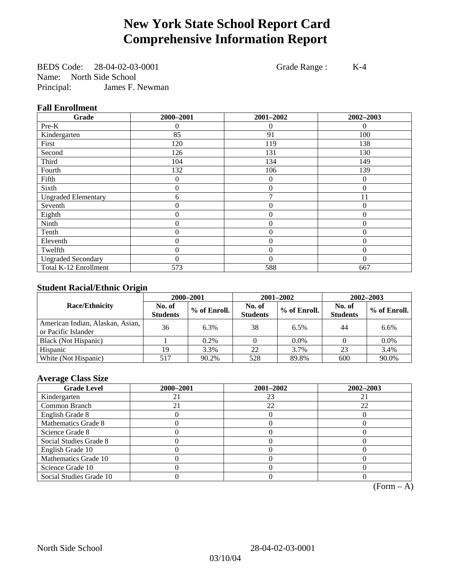# **New York State School Report Card Comprehensive Information Report**

BEDS Code: 28-04-02-03-0001 Grade Range : K-4 Name: North Side School Principal: James F. Newman

### **Fall Enrollment**

| Grade                      | 2000-2001        | 2001-2002        | 2002-2003 |
|----------------------------|------------------|------------------|-----------|
| Pre-K                      | 0                | $\Omega$         | $\Omega$  |
| Kindergarten               | 85               | 91               | 100       |
| First                      | 120              | 119              | 138       |
| Second                     | 126              | 131              | 130       |
| Third                      | 104              | 134              | 149       |
| Fourth                     | 132              | 106              | 139       |
| Fifth                      | 0                | $\overline{0}$   | $\Omega$  |
| Sixth                      | 0                | $\overline{0}$   | $\theta$  |
| <b>Ungraded Elementary</b> | 6                | 7                | 11        |
| Seventh                    | $\boldsymbol{0}$ | $\mathbf{0}$     | $\theta$  |
| Eighth                     | $\boldsymbol{0}$ | $\overline{0}$   | $\Omega$  |
| Ninth                      | 0                | $\overline{0}$   | $\Omega$  |
| Tenth                      | 0                | $\boldsymbol{0}$ | $\theta$  |
| Eleventh                   | 0                | $\overline{0}$   | $\theta$  |
| Twelfth                    | 0                | $\overline{0}$   | $\theta$  |
| <b>Ungraded Secondary</b>  | 0                | $\theta$         | $\theta$  |
| Total K-12 Enrollment      | 573              | 588              | 667       |

### **Student Racial/Ethnic Origin**

|                                                         | 2000-2001                 |              |                           | 2001-2002    | 2002-2003                 |                |
|---------------------------------------------------------|---------------------------|--------------|---------------------------|--------------|---------------------------|----------------|
| <b>Race/Ethnicity</b>                                   | No. of<br><b>Students</b> | % of Enroll. | No. of<br><b>Students</b> | % of Enroll. | No. of<br><b>Students</b> | $%$ of Enroll. |
| American Indian, Alaskan, Asian,<br>or Pacific Islander | 36                        | 6.3%         | 38                        | 6.5%         | 44                        | 6.6%           |
| Black (Not Hispanic)                                    |                           | $0.2\%$      |                           | $0.0\%$      |                           | $0.0\%$        |
| Hispanic                                                | 19                        | 3.3%         | 22                        | 3.7%         | 23                        | 3.4%           |
| White (Not Hispanic)                                    | 517                       | 90.2%        | 528                       | 89.8%        | 600                       | 90.0%          |

### **Average Class Size**

| <b>Grade Level</b>      | 2000-2001 | 2001-2002 | 2002-2003 |
|-------------------------|-----------|-----------|-----------|
| Kindergarten            |           | 23        |           |
| Common Branch           |           | 22        | 22        |
| English Grade 8         |           |           |           |
| Mathematics Grade 8     |           |           |           |
| Science Grade 8         |           |           |           |
| Social Studies Grade 8  |           |           |           |
| English Grade 10        |           |           |           |
| Mathematics Grade 10    |           |           |           |
| Science Grade 10        |           |           |           |
| Social Studies Grade 10 |           |           |           |

 $(Form – A)$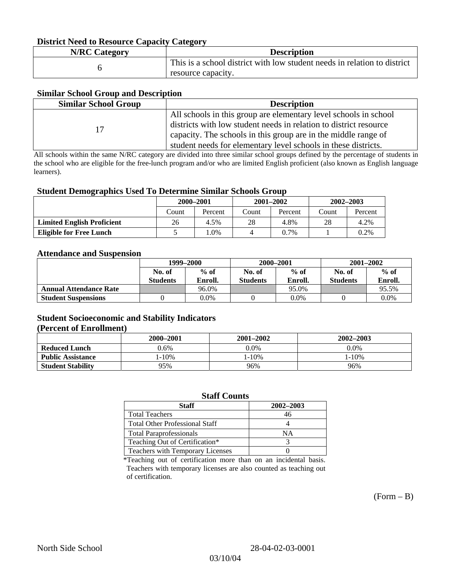#### **District Need to Resource Capacity Category**

| <b>N/RC Category</b> | <b>Description</b>                                                                             |
|----------------------|------------------------------------------------------------------------------------------------|
|                      | This is a school district with low student needs in relation to district<br>resource capacity. |

#### **Similar School Group and Description**

| <b>Similar School Group</b> | <b>Description</b>                                                |
|-----------------------------|-------------------------------------------------------------------|
|                             | All schools in this group are elementary level schools in school  |
| 17                          | districts with low student needs in relation to district resource |
|                             | capacity. The schools in this group are in the middle range of    |
|                             | student needs for elementary level schools in these districts.    |

All schools within the same N/RC category are divided into three similar school groups defined by the percentage of students in the school who are eligible for the free-lunch program and/or who are limited English proficient (also known as English language learners).

#### **Student Demographics Used To Determine Similar Schools Group**

|                                   | 2000-2001 |         | $2001 - 2002$ |         | $2002 - 2003$ |         |
|-----------------------------------|-----------|---------|---------------|---------|---------------|---------|
|                                   | Count     | Percent | Count         | Percent | Count         | Percent |
| <b>Limited English Proficient</b> | 26        | 4.5%    | 28            | 4.8%    | 28            | 4.2%    |
| Eligible for Free Lunch           |           | $.0\%$  |               | $0.7\%$ |               | 0.2%    |

#### **Attendance and Suspension**

|                               | 1999–2000<br>$%$ of<br>No. of |         |                 | 2000-2001 | $2001 - 2002$   |         |
|-------------------------------|-------------------------------|---------|-----------------|-----------|-----------------|---------|
|                               |                               |         | No. of          | $%$ of    | No. of          | $%$ of  |
|                               | <b>Students</b>               | Enroll. | <b>Students</b> | Enroll.   | <b>Students</b> | Enroll. |
| <b>Annual Attendance Rate</b> |                               | 96.0%   |                 | 95.0%     |                 | 95.5%   |
| <b>Student Suspensions</b>    |                               | 0.0%    |                 | $0.0\%$   |                 | 0.0%    |

### **Student Socioeconomic and Stability Indicators (Percent of Enrollment)**

|                          | 2000-2001 | 2001–2002 | 2002-2003 |
|--------------------------|-----------|-----------|-----------|
| <b>Reduced Lunch</b>     | 0.6%      | $0.0\%$   | $0.0\%$   |
| <b>Public Assistance</b> | $-10%$    | . - 10%   | $-10%$    |
| <b>Student Stability</b> | 95%       | 96%       | 96%       |

#### **Staff Counts**

| Staff                                   | 2002-2003 |
|-----------------------------------------|-----------|
| <b>Total Teachers</b>                   | 46        |
| <b>Total Other Professional Staff</b>   |           |
| <b>Total Paraprofessionals</b>          | NΑ        |
| Teaching Out of Certification*          |           |
| <b>Teachers with Temporary Licenses</b> |           |

\*Teaching out of certification more than on an incidental basis. Teachers with temporary licenses are also counted as teaching out of certification.

 $(Form - B)$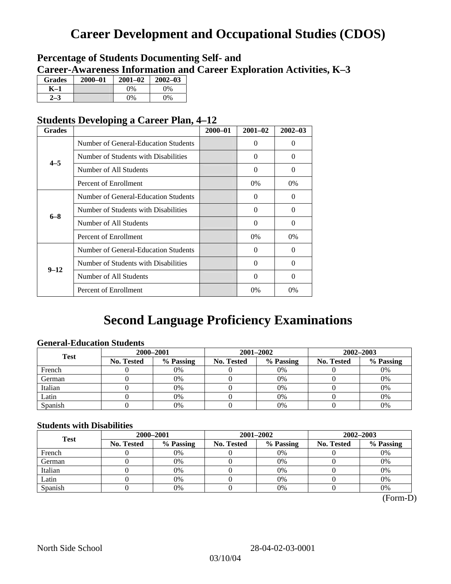# **Career Development and Occupational Studies (CDOS)**

## **Percentage of Students Documenting Self- and Career-Awareness Information and Career Exploration Activities, K–3**

| <b>Grades</b> | $2000 - 01$ | $2001 - 02$ | $2002 - 03$ |
|---------------|-------------|-------------|-------------|
| K–1           |             | $9\%$       | $0\%$       |
|               |             | $0\%$       | $0\%$       |

## **Students Developing a Career Plan, 4–12**

| <b>Grades</b> |                                      | $2000 - 01$ | $2001 - 02$ | $2002 - 03$ |
|---------------|--------------------------------------|-------------|-------------|-------------|
|               | Number of General-Education Students |             | 0           | $\Omega$    |
| $4 - 5$       | Number of Students with Disabilities |             | 0           | $\Omega$    |
|               | Number of All Students               |             | 0           | $\Omega$    |
|               | Percent of Enrollment                |             | $0\%$       | $0\%$       |
|               | Number of General-Education Students |             | 0           | 0           |
| $6 - 8$       | Number of Students with Disabilities |             | $\Omega$    | $\Omega$    |
|               | Number of All Students               |             | $\theta$    | $\Omega$    |
|               | Percent of Enrollment                |             | $0\%$       | $0\%$       |
|               | Number of General-Education Students |             | 0           | $\Omega$    |
| $9 - 12$      | Number of Students with Disabilities |             | 0           | $\Omega$    |
|               | Number of All Students               |             | $\Omega$    | $\Omega$    |
|               | Percent of Enrollment                |             | $0\%$       | 0%          |

# **Second Language Proficiency Examinations**

### **General-Education Students**

| <b>Test</b> | 2000-2001         |           |            | 2001-2002 | 2002-2003         |           |
|-------------|-------------------|-----------|------------|-----------|-------------------|-----------|
|             | <b>No. Tested</b> | % Passing | No. Tested | % Passing | <b>No. Tested</b> | % Passing |
| French      |                   | 0%        |            | 0%        |                   | 0%        |
| German      |                   | 0%        |            | $0\%$     |                   | 0%        |
| Italian     |                   | 0%        |            | 0%        |                   | 0%        |
| Latin       |                   | 0%        |            | 0%        |                   | 0%        |
| Spanish     |                   | 0%        |            | 0%        |                   | 0%        |

### **Students with Disabilities**

| <b>Test</b> | 2000-2001         |           | 2001-2002  |           | 2002-2003         |           |
|-------------|-------------------|-----------|------------|-----------|-------------------|-----------|
|             | <b>No. Tested</b> | % Passing | No. Tested | % Passing | <b>No. Tested</b> | % Passing |
| French      |                   | 0%        |            | 0%        |                   | 0%        |
| German      |                   | 0%        |            | $0\%$     |                   | 0%        |
| Italian     |                   | 0%        |            | 0%        |                   | 0%        |
| Latin       |                   | 0%        |            | 0%        |                   | 0%        |
| Spanish     |                   | 0%        |            | 0%        |                   | 0%        |

(Form-D)